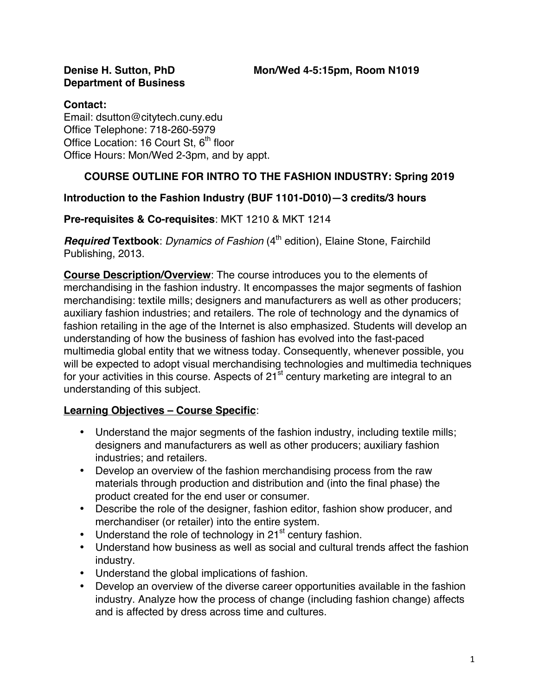# **Department of Business**

## **Contact: Contact: Contact: Contact: Contact: Contact: Contact: Contact: Contact: Contact: Contact: Contact: Contact: Contact: Contact: Contact: Contact: Contact: Contact: Contact: C**

Email: dsutton@citytech.cuny.edu Office Telephone: 718-260-5979 Office Location: 16 Court St,  $6<sup>th</sup>$  floor Office Hours: Mon/Wed 2-3pm, and by appt.

# **COURSE OUTLINE FOR INTRO TO THE FASHION INDUSTRY: Spring 2019**

# **Introduction to the Fashion Industry (BUF 1101-D010)—3 credits/3 hours**

## **Pre-requisites & Co-requisites**: MKT 1210 & MKT 1214

*Required* Textbook: *Dynamics of Fashion* (4<sup>th</sup> edition), Elaine Stone, Fairchild Publishing, 2013.

**Course Description/Overview**: The course introduces you to the elements of merchandising in the fashion industry. It encompasses the major segments of fashion merchandising: textile mills; designers and manufacturers as well as other producers; auxiliary fashion industries; and retailers. The role of technology and the dynamics of fashion retailing in the age of the Internet is also emphasized. Students will develop an understanding of how the business of fashion has evolved into the fast-paced multimedia global entity that we witness today. Consequently, whenever possible, you will be expected to adopt visual merchandising technologies and multimedia techniques for your activities in this course. Aspects of  $21^{st}$  century marketing are integral to an understanding of this subject.

# **Learning Objectives – Course Specific**:

- Understand the major segments of the fashion industry, including textile mills; designers and manufacturers as well as other producers; auxiliary fashion industries; and retailers.
- Develop an overview of the fashion merchandising process from the raw materials through production and distribution and (into the final phase) the product created for the end user or consumer.
- Describe the role of the designer, fashion editor, fashion show producer, and merchandiser (or retailer) into the entire system.
- Understand the role of technology in  $21<sup>st</sup>$  century fashion.
- Understand how business as well as social and cultural trends affect the fashion industry.
- Understand the global implications of fashion.
- Develop an overview of the diverse career opportunities available in the fashion industry. Analyze how the process of change (including fashion change) affects and is affected by dress across time and cultures.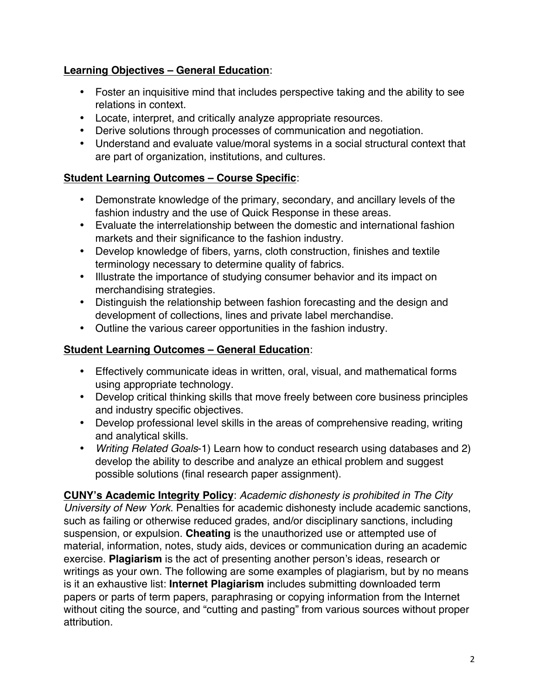# **Learning Objectives – General Education**:

- Foster an inquisitive mind that includes perspective taking and the ability to see relations in context.
- Locate, interpret, and critically analyze appropriate resources.
- Derive solutions through processes of communication and negotiation.
- Understand and evaluate value/moral systems in a social structural context that are part of organization, institutions, and cultures.

## **Student Learning Outcomes – Course Specific**:

- Demonstrate knowledge of the primary, secondary, and ancillary levels of the fashion industry and the use of Quick Response in these areas.
- Evaluate the interrelationship between the domestic and international fashion markets and their significance to the fashion industry.
- Develop knowledge of fibers, yarns, cloth construction, finishes and textile terminology necessary to determine quality of fabrics.
- Illustrate the importance of studying consumer behavior and its impact on merchandising strategies.
- Distinguish the relationship between fashion forecasting and the design and development of collections, lines and private label merchandise.
- Outline the various career opportunities in the fashion industry.

## **Student Learning Outcomes – General Education**:

- Effectively communicate ideas in written, oral, visual, and mathematical forms using appropriate technology.
- Develop critical thinking skills that move freely between core business principles and industry specific objectives.
- Develop professional level skills in the areas of comprehensive reading, writing and analytical skills.
- *Writing Related Goals*-1) Learn how to conduct research using databases and 2) develop the ability to describe and analyze an ethical problem and suggest possible solutions (final research paper assignment).

**CUNY's Academic Integrity Policy**: *Academic dishonesty is prohibited in The City University of New York*. Penalties for academic dishonesty include academic sanctions, such as failing or otherwise reduced grades, and/or disciplinary sanctions, including suspension, or expulsion. **Cheating** is the unauthorized use or attempted use of material, information, notes, study aids, devices or communication during an academic exercise. **Plagiarism** is the act of presenting another person's ideas, research or writings as your own. The following are some examples of plagiarism, but by no means is it an exhaustive list: **Internet Plagiarism** includes submitting downloaded term papers or parts of term papers, paraphrasing or copying information from the Internet without citing the source, and "cutting and pasting" from various sources without proper attribution.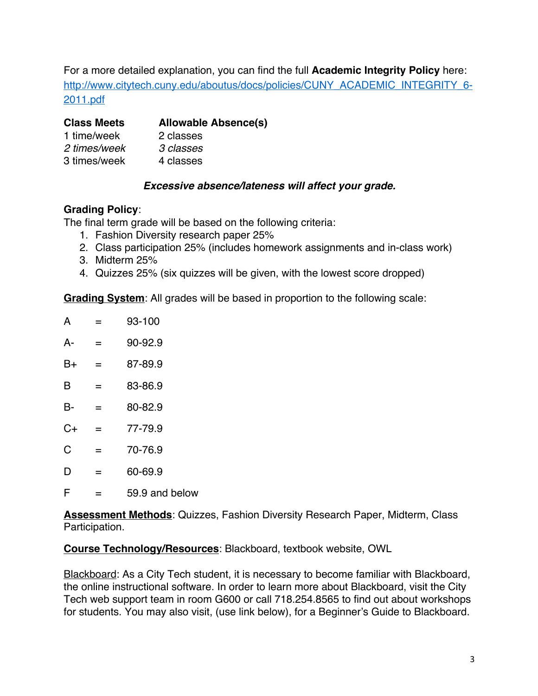For a more detailed explanation, you can find the full **Academic Integrity Policy** here: http://www.citytech.cuny.edu/aboutus/docs/policies/CUNY\_ACADEMIC\_INTEGRITY\_6- 2011.pdf

| <b>Class Meets</b> | <b>Allowable Absence(s)</b> |
|--------------------|-----------------------------|
| 1 time/week        | 2 classes                   |
| 2 times/week       | 3 classes                   |
| 3 times/week       | 4 classes                   |

## *Excessive absence/lateness will affect your grade.*

## **Grading Policy**:

The final term grade will be based on the following criteria:

- 1. Fashion Diversity research paper 25%
- 2. Class participation 25% (includes homework assignments and in-class work)
- 3. Midterm 25%
- 4. Quizzes 25% (six quizzes will be given, with the lowest score dropped)

**Grading System**: All grades will be based in proportion to the following scale:

| А  |   | 93-100  |
|----|---|---------|
| А- | = | 90-92.9 |
| B+ | = | 87-89.9 |
| B  | = | 83-86.9 |
| B- | = | 80-82.9 |
| C+ | = | 77-79.9 |
| C  | = | 70-76.9 |
| D  | = | 60-69.9 |
|    |   |         |

 $F = 59.9$  and below

**Assessment Methods**: Quizzes, Fashion Diversity Research Paper, Midterm, Class Participation.

**Course Technology/Resources**: Blackboard, textbook website, OWL

Blackboard: As a City Tech student, it is necessary to become familiar with Blackboard, the online instructional software. In order to learn more about Blackboard, visit the City Tech web support team in room G600 or call 718.254.8565 to find out about workshops for students. You may also visit, (use link below), for a Beginner's Guide to Blackboard.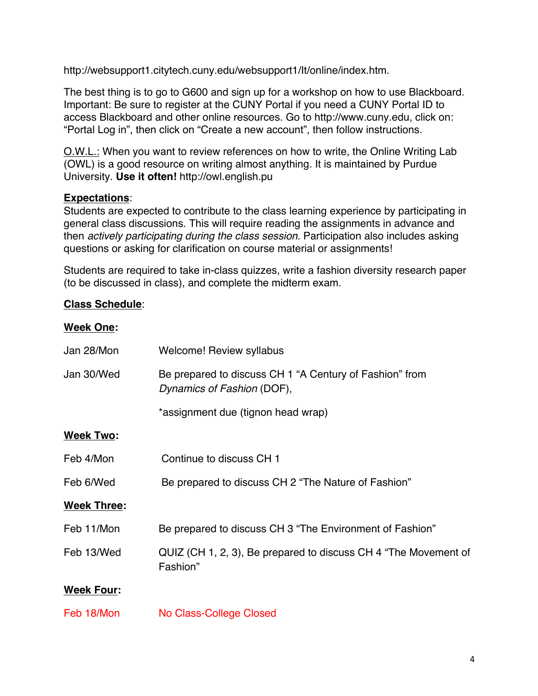http://websupport1.citytech.cuny.edu/websupport1/It/online/index.htm.

The best thing is to go to G600 and sign up for a workshop on how to use Blackboard. Important: Be sure to register at the CUNY Portal if you need a CUNY Portal ID to access Blackboard and other online resources. Go to http://www.cuny.edu, click on: "Portal Log in", then click on "Create a new account", then follow instructions.

O.W.L.: When you want to review references on how to write, the Online Writing Lab (OWL) is a good resource on writing almost anything. It is maintained by Purdue University. **Use it often!** http://owl.english.pu

## **Expectations**:

Students are expected to contribute to the class learning experience by participating in general class discussions. This will require reading the assignments in advance and then *actively participating during the class session*. Participation also includes asking questions or asking for clarification on course material or assignments!

Students are required to take in-class quizzes, write a fashion diversity research paper (to be discussed in class), and complete the midterm exam.

## **Class Schedule**:

## **Week One:**

| Jan 28/Mon         | <b>Welcome! Review syllabus</b>                                                       |
|--------------------|---------------------------------------------------------------------------------------|
| Jan 30/Wed         | Be prepared to discuss CH 1 "A Century of Fashion" from<br>Dynamics of Fashion (DOF), |
|                    | *assignment due (tignon head wrap)                                                    |
| <b>Week Two:</b>   |                                                                                       |
| Feb 4/Mon          | Continue to discuss CH 1                                                              |
| Feb 6/Wed          | Be prepared to discuss CH 2 "The Nature of Fashion"                                   |
| <b>Week Three:</b> |                                                                                       |
| Feb 11/Mon         | Be prepared to discuss CH 3 "The Environment of Fashion"                              |
| Feb 13/Wed         | QUIZ (CH 1, 2, 3), Be prepared to discuss CH 4 "The Movement of<br>Fashion"           |
| <b>Week Four:</b>  |                                                                                       |
| Feb 18/Mon         | <b>No Class-College Closed</b>                                                        |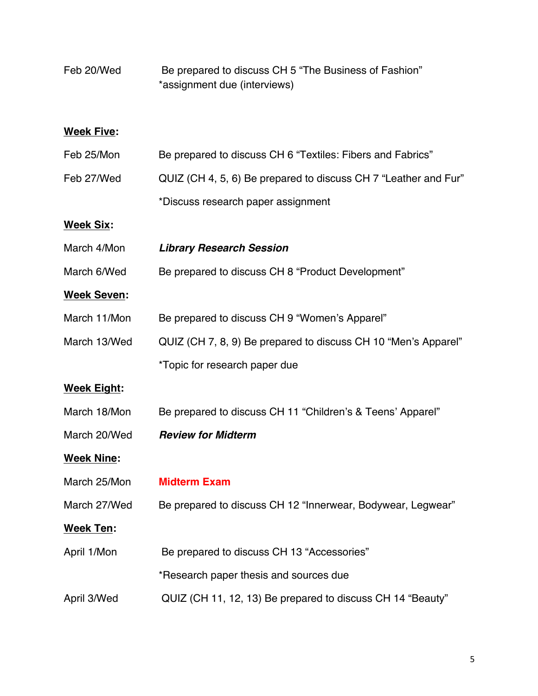| Feb 20/Wed         | Be prepared to discuss CH 5 "The Business of Fashion"<br>*assignment due (interviews) |
|--------------------|---------------------------------------------------------------------------------------|
| <b>Week Five:</b>  |                                                                                       |
| Feb 25/Mon         | Be prepared to discuss CH 6 "Textiles: Fibers and Fabrics"                            |
| Feb 27/Wed         | QUIZ (CH 4, 5, 6) Be prepared to discuss CH 7 "Leather and Fur"                       |
|                    | *Discuss research paper assignment                                                    |
| <b>Week Six:</b>   |                                                                                       |
| March 4/Mon        | <b>Library Research Session</b>                                                       |
| March 6/Wed        | Be prepared to discuss CH 8 "Product Development"                                     |
| <b>Week Seven:</b> |                                                                                       |
| March 11/Mon       | Be prepared to discuss CH 9 "Women's Apparel"                                         |
| March 13/Wed       | QUIZ (CH 7, 8, 9) Be prepared to discuss CH 10 "Men's Apparel"                        |
|                    | *Topic for research paper due                                                         |
| <b>Week Eight:</b> |                                                                                       |
| March 18/Mon       | Be prepared to discuss CH 11 "Children's & Teens' Apparel"                            |
| March 20/Wed       | <b>Review for Midterm</b>                                                             |
| <b>Week Nine:</b>  |                                                                                       |
| March 25/Mon       | <b>Midterm Exam</b>                                                                   |
| March 27/Wed       | Be prepared to discuss CH 12 "Innerwear, Bodywear, Legwear"                           |
| <b>Week Ten:</b>   |                                                                                       |
| April 1/Mon        | Be prepared to discuss CH 13 "Accessories"                                            |
|                    | *Research paper thesis and sources due                                                |
| April 3/Wed        | QUIZ (CH 11, 12, 13) Be prepared to discuss CH 14 "Beauty"                            |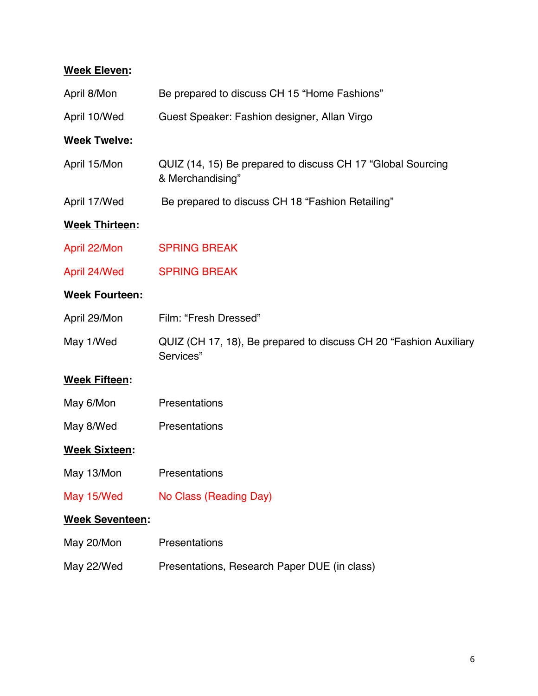# **Week Eleven:**

| April 8/Mon            | Be prepared to discuss CH 15 "Home Fashions"                                    |
|------------------------|---------------------------------------------------------------------------------|
| April 10/Wed           | Guest Speaker: Fashion designer, Allan Virgo                                    |
| <b>Week Twelve:</b>    |                                                                                 |
| April 15/Mon           | QUIZ (14, 15) Be prepared to discuss CH 17 "Global Sourcing<br>& Merchandising" |
| April 17/Wed           | Be prepared to discuss CH 18 "Fashion Retailing"                                |
| <b>Week Thirteen:</b>  |                                                                                 |
| April 22/Mon           | <b>SPRING BREAK</b>                                                             |
| April 24/Wed           | <b>SPRING BREAK</b>                                                             |
| <b>Week Fourteen:</b>  |                                                                                 |
| April 29/Mon           | Film: "Fresh Dressed"                                                           |
| May 1/Wed              | QUIZ (CH 17, 18), Be prepared to discuss CH 20 "Fashion Auxiliary<br>Services"  |
| <b>Week Fifteen:</b>   |                                                                                 |
| May 6/Mon              | Presentations                                                                   |
| May 8/Wed              | Presentations                                                                   |
| <b>Week Sixteen:</b>   |                                                                                 |
| May 13/Mon             | Presentations                                                                   |
| May 15/Wed             | No Class (Reading Day)                                                          |
| <b>Week Seventeen:</b> |                                                                                 |
| May 20/Mon             | Presentations                                                                   |
| May 22/Wed             | Presentations, Research Paper DUE (in class)                                    |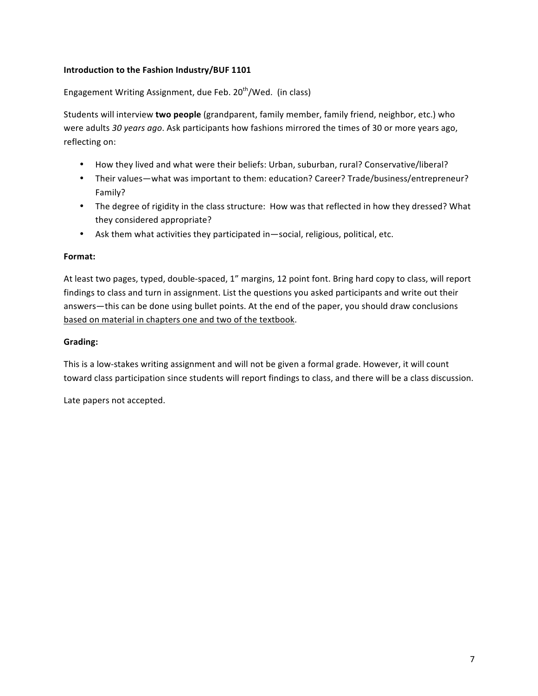## **Introduction to the Fashion Industry/BUF 1101**

Engagement Writing Assignment, due Feb.  $20<sup>th</sup>/Wed.$  (in class)

Students will interview **two people** (grandparent, family member, family friend, neighbor, etc.) who were adults 30 years ago. Ask participants how fashions mirrored the times of 30 or more years ago, reflecting on:

- How they lived and what were their beliefs: Urban, suburban, rural? Conservative/liberal?
- Their values—what was important to them: education? Career? Trade/business/entrepreneur? Family?
- The degree of rigidity in the class structure: How was that reflected in how they dressed? What they considered appropriate?
- Ask them what activities they participated in—social, religious, political, etc.

#### **Format:**

At least two pages, typed, double-spaced, 1" margins, 12 point font. Bring hard copy to class, will report findings to class and turn in assignment. List the questions you asked participants and write out their answers—this can be done using bullet points. At the end of the paper, you should draw conclusions based on material in chapters one and two of the textbook.

#### **Grading:**

This is a low-stakes writing assignment and will not be given a formal grade. However, it will count toward class participation since students will report findings to class, and there will be a class discussion.

Late papers not accepted.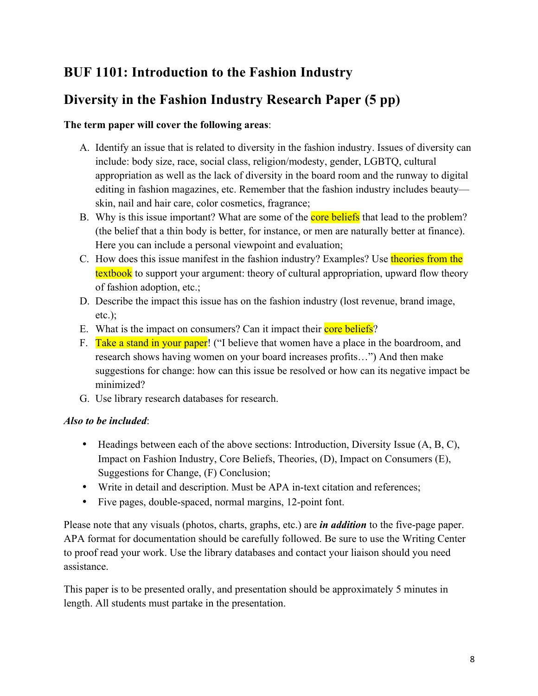# **BUF 1101: Introduction to the Fashion Industry**

# **Diversity in the Fashion Industry Research Paper (5 pp)**

## **The term paper will cover the following areas**:

- A. Identify an issue that is related to diversity in the fashion industry. Issues of diversity can include: body size, race, social class, religion/modesty, gender, LGBTQ, cultural appropriation as well as the lack of diversity in the board room and the runway to digital editing in fashion magazines, etc. Remember that the fashion industry includes beauty skin, nail and hair care, color cosmetics, fragrance;
- B. Why is this issue important? What are some of the **core beliefs** that lead to the problem? (the belief that a thin body is better, for instance, or men are naturally better at finance). Here you can include a personal viewpoint and evaluation;
- C. How does this issue manifest in the fashion industry? Examples? Use theories from the textbook to support your argument: theory of cultural appropriation, upward flow theory of fashion adoption, etc.;
- D. Describe the impact this issue has on the fashion industry (lost revenue, brand image, etc.);
- E. What is the impact on consumers? Can it impact their core beliefs?
- F. Take a stand in your paper! ("I believe that women have a place in the boardroom, and research shows having women on your board increases profits…") And then make suggestions for change: how can this issue be resolved or how can its negative impact be minimized?
- G. Use library research databases for research.

## *Also to be included*:

- Headings between each of the above sections: Introduction, Diversity Issue (A, B, C), Impact on Fashion Industry, Core Beliefs, Theories, (D), Impact on Consumers (E), Suggestions for Change, (F) Conclusion;
- Write in detail and description. Must be APA in-text citation and references;
- Five pages, double-spaced, normal margins, 12-point font.

Please note that any visuals (photos, charts, graphs, etc.) are *in addition* to the five-page paper. APA format for documentation should be carefully followed. Be sure to use the Writing Center to proof read your work. Use the library databases and contact your liaison should you need assistance.

This paper is to be presented orally, and presentation should be approximately 5 minutes in length. All students must partake in the presentation.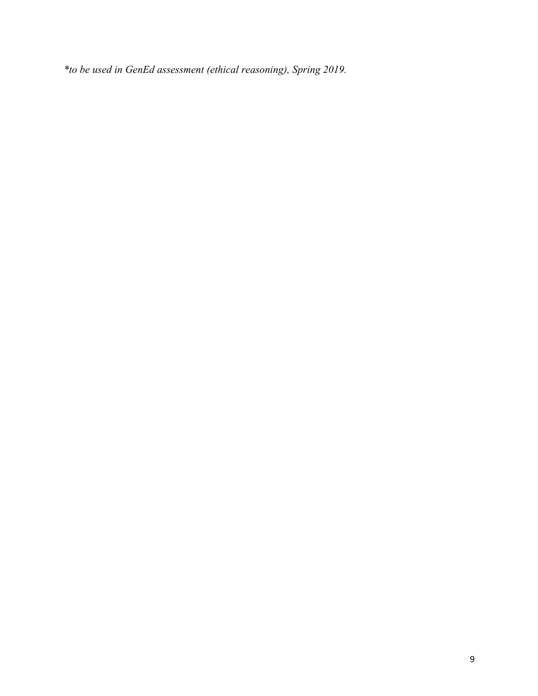*\*to be used in GenEd assessment (ethical reasoning), Spring 2019.*